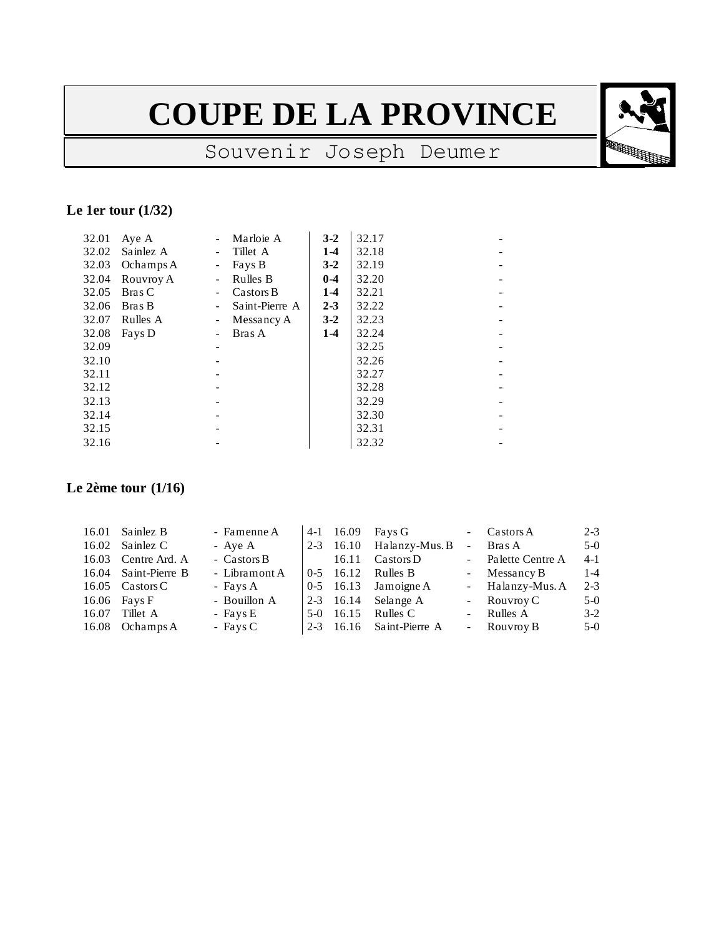# **COUPE DE LA PROVINCE**

## Souvenir Joseph Deumer

#### **Le 1er tour (1/32)**

| 32.01 | Aye A     |                          | Marloie A      | $3 - 2$ | 32.17 |  |
|-------|-----------|--------------------------|----------------|---------|-------|--|
| 32.02 | Sainlez A | $\blacksquare$           | Tillet A       | $1-4$   | 32.18 |  |
| 32.03 | Ochamps A | $\overline{\phantom{0}}$ | Fays B         | $3-2$   | 32.19 |  |
| 32.04 | Rouvroy A | ÷                        | Rulles B       | $0 - 4$ | 32.20 |  |
| 32.05 | Bras C    | $\sim$                   | Castors B      | $1-4$   | 32.21 |  |
| 32.06 | Bras B    | Ξ.                       | Saint-Pierre A | $2 - 3$ | 32.22 |  |
| 32.07 | Rulles A  | $\overline{\phantom{0}}$ | Messancy A     | $3 - 2$ | 32.23 |  |
| 32.08 | Fays D    |                          | Bras A         | $1-4$   | 32.24 |  |
| 32.09 |           |                          |                |         | 32.25 |  |
| 32.10 |           |                          |                |         | 32.26 |  |
| 32.11 |           |                          |                |         | 32.27 |  |
| 32.12 |           |                          |                |         | 32.28 |  |
| 32.13 |           |                          |                |         | 32.29 |  |
| 32.14 |           |                          |                |         | 32.30 |  |
| 32.15 |           |                          |                |         | 32.31 |  |
| 32.16 |           |                          |                |         | 32.32 |  |
|       |           |                          |                |         |       |  |

#### **Le 2ème tour (1/16)**

| 16.01 Sainlez B                  | - Famenne A   |  | 4-1 $16.09$ Fays G                |              | - $\text{Castos } A$ | $2 - 3$ |
|----------------------------------|---------------|--|-----------------------------------|--------------|----------------------|---------|
| 16.02 Sainlez C                  | - Aye A       |  | $2-3$ 16.10 Halanzy-Mus. B        | $\mathbf{r}$ | Bras A               | $5-0$   |
| 16.03 Centre Ard. A              | - Castors B   |  | 16.11 $\text{Castors }\mathbf{D}$ |              | - Palette Centre A   | $4-1$   |
| 16.04 Saint-Pierre B             | - Libramont A |  | $0-5$ 16.12 Rulles B              |              | - Messancy B         | $1 - 4$ |
| 16.05 $\text{Catsors}\,\text{C}$ | - Fays A      |  | $0-5$ 16.13 Jamoigne A            |              | - Halanzy-Mus. A     | $2 - 3$ |
| $16.06$ Fays F                   | - Bouillon A  |  | $2-3$ 16.14 Selange A             |              | - Rouvroy C          | $5-0$   |
| 16.07 Tillet A                   | - Fays E      |  | 5-0 16.15 Rulles C                |              | - Rulles A           | $3-2$   |
| 16.08 Ochamps A                  | $-$ Fays C    |  | $2-3$ 16.16 Saint-Pierre A        |              | - Rouvroy B          | $5-0$   |